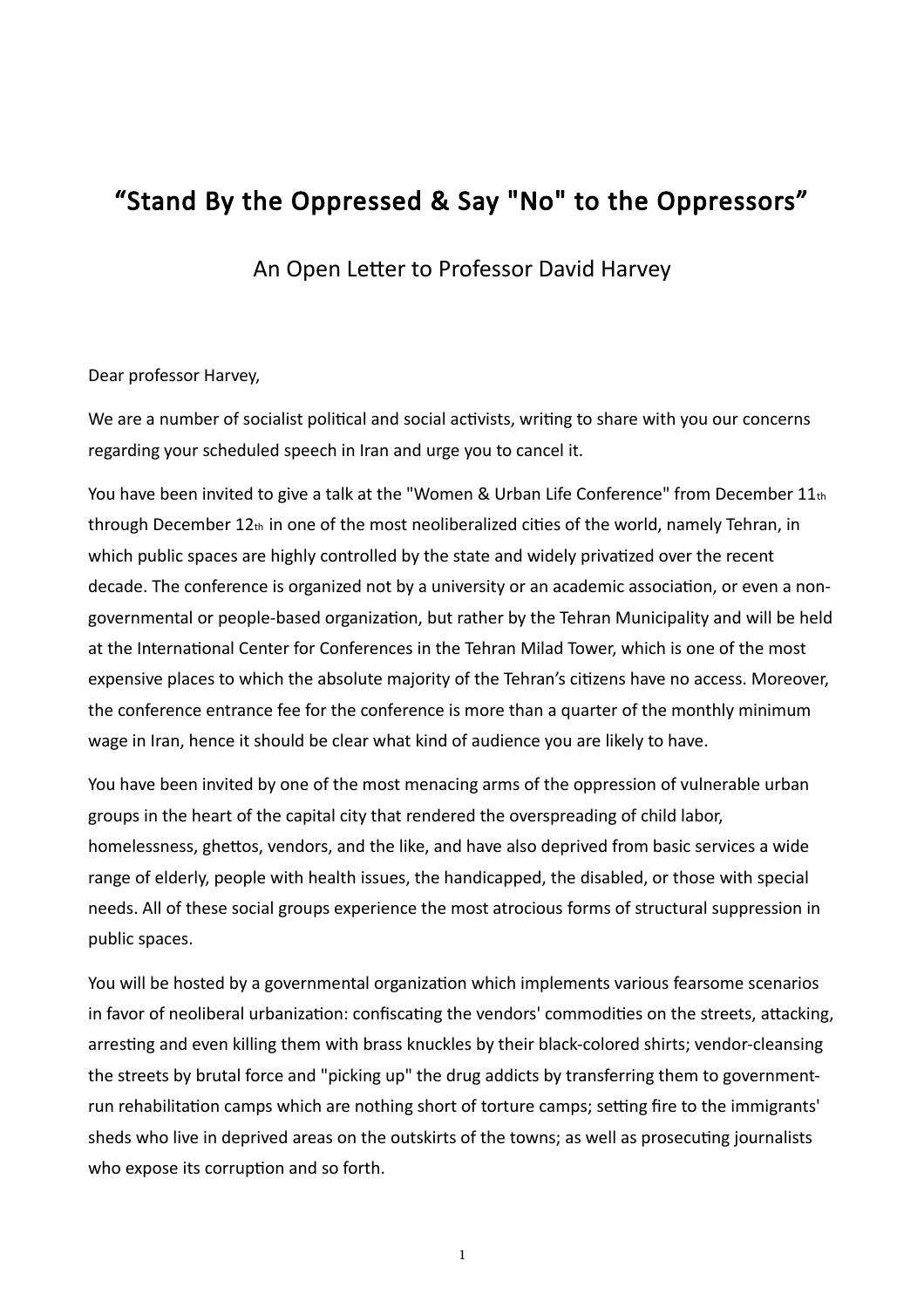## "Stand By the Oppressed & Say "No" to the Oppressors"

An Open Letter to Professor David Harvey

## Dear professor Harvey,

We are a number of socialist political and social activists, writing to share with you our concerns regarding your scheduled speech in Iran and urge you to cancel it.

You have been invited to give a talk at the "Women & Urban Life Conference" from December 11th through December 12th in one of the most neoliberalized cities of the world, namely Tehran, in which public spaces are highly controlled by the state and widely privatized over the recent decade. The conference is organized not by a university or an academic association, or even a nongovernmental or people-based organization, but rather by the Tehran Municipality and will be held at the International Center for Conferences in the Tehran Milad Tower, which is one of the most expensive places to which the absolute majority of the Tehran's citizens have no access. Moreover, the conference entrance fee for the conference is more than a quarter of the monthly minimum wage in Iran, hence it should be clear what kind of audience you are likely to have.

You have been invited by one of the most menacing arms of the oppression of vulnerable urban groups in the heart of the capital city that rendered the overspreading of child labor, homelessness, ghettos, vendors, and the like, and have also deprived from basic services a wide range of elderly, people with health issues, the handicapped, the disabled, or those with special needs. All of these social groups experience the most atrocious forms of structural suppression in public spaces.

You will be hosted by a governmental organization which implements various fearsome scenarios in favor of neoliberal urbanization: confiscating the vendors' commodities on the streets, attacking, arresting and even killing them with brass knuckles by their black-colored shirts; vendor-cleansing the streets by brutal force and "picking up" the drug addicts by transferring them to governmentrun rehabilitation camps which are nothing short of torture camps; setting fire to the immigrants' sheds who live in deprived areas on the outskirts of the towns; as well as prosecuting journalists who expose its corruption and so forth.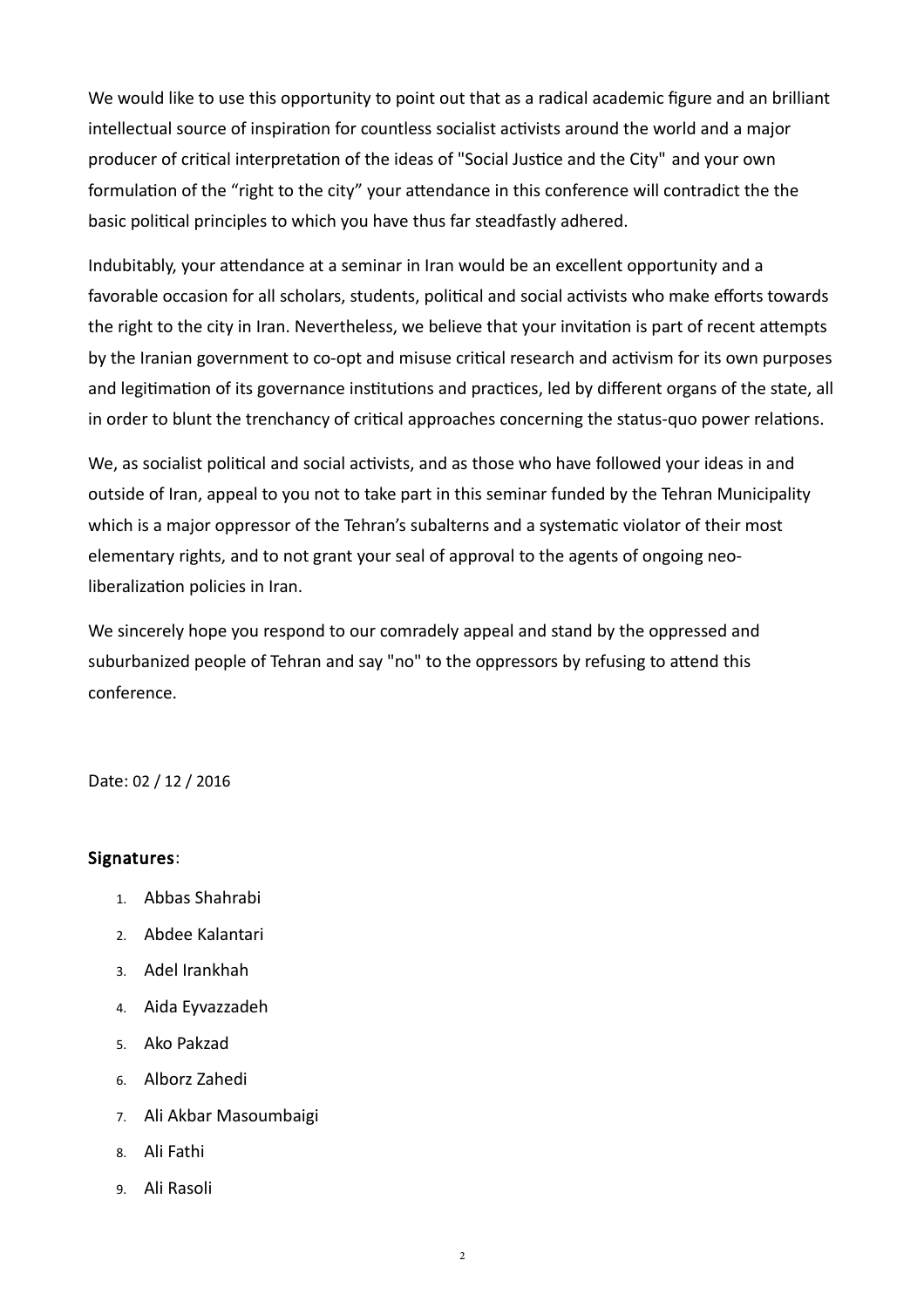We would like to use this opportunity to point out that as a radical academic figure and an brilliant intellectual source of inspiration for countless socialist activists around the world and a major producer of critical interpretation of the ideas of "Social Justice and the City" and your own formulation of the "right to the city" your attendance in this conference will contradict the the basic political principles to which you have thus far steadfastly adhered.

Indubitably, your attendance at a seminar in Iran would be an excellent opportunity and a favorable occasion for all scholars, students, political and social activists who make efforts towards the right to the city in Iran. Nevertheless, we believe that your invitation is part of recent attempts by the Iranian government to co-opt and misuse critical research and activism for its own purposes and legitimation of its governance institutions and practices, led by different organs of the state, all in order to blunt the trenchancy of critical approaches concerning the status-quo power relations.

We, as socialist political and social activists, and as those who have followed your ideas in and outside of Iran, appeal to you not to take part in this seminar funded by the Tehran Municipality which is a major oppressor of the Tehran's subalterns and a systematic violator of their most elementary rights, and to not grant your seal of approval to the agents of ongoing neoliberalization policies in Iran.

We sincerely hope you respond to our comradely appeal and stand by the oppressed and suburbanized people of Tehran and say "no" to the oppressors by refusing to attend this conference.

Date: 02 / 12 / 2016

## Signatures:

- 1. Abbas Shahrabi
- 2. Abdee Kalantari
- 3. Adel Irankhah
- 4. Aida Eyvazzadeh
- 5. Ako Pakzad
- 6. Alborz Zahedi
- 7. Ali Akbar Masoumbaigi
- 8. Ali Fathi
- 9. Ali Rasoli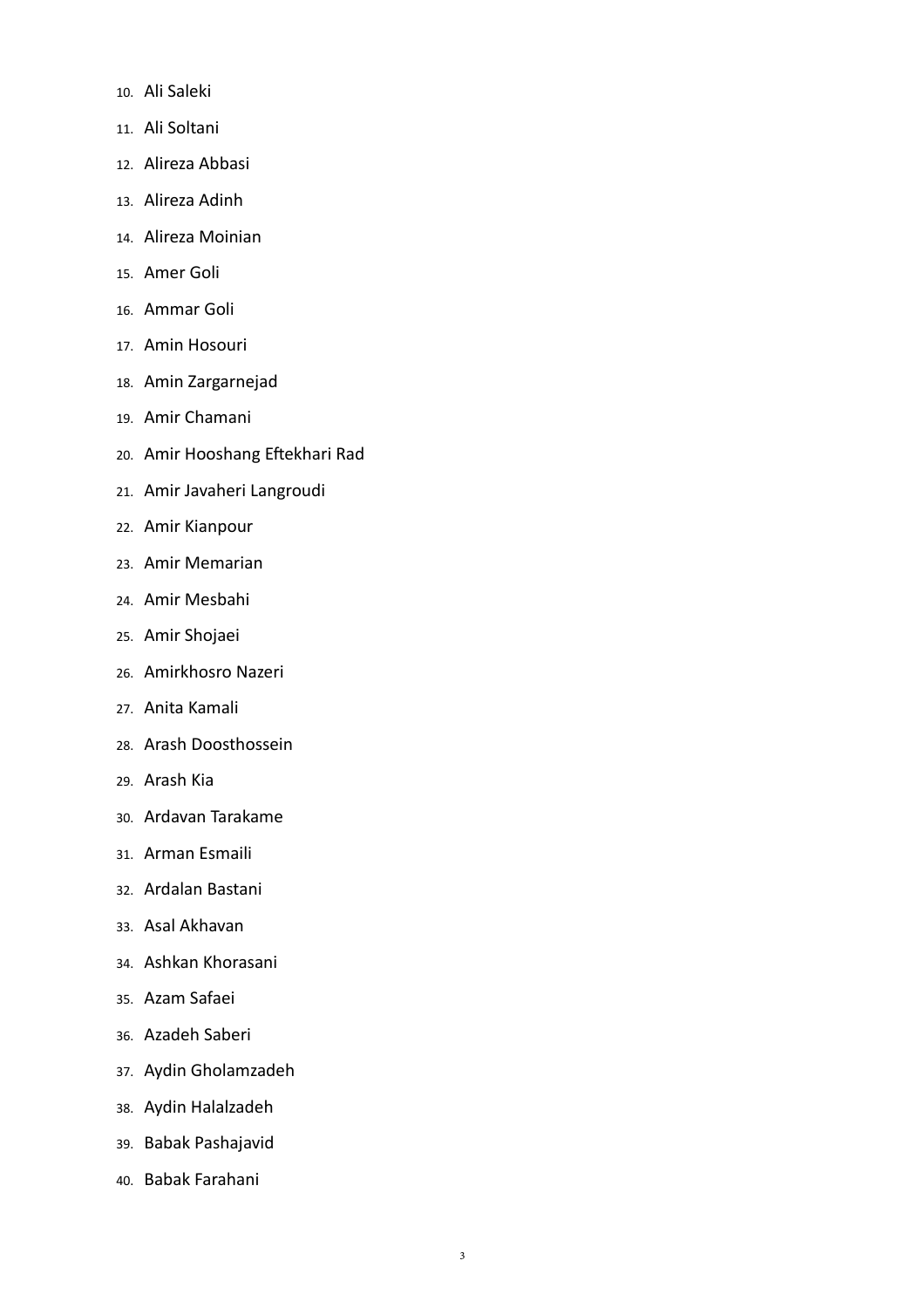- 10. Ali Saleki
- 11. Ali Soltani
- 12. Alireza Abbasi
- 13. Alireza Adinh
- 14. Alireza Moinian
- 15. Amer Goli
- 16. Ammar Goli
- 17. Amin Hosouri
- 18. Amin Zargarnejad
- 19. Amir Chamani
- 20. Amir Hooshang Eftekhari Rad
- 21. Amir Javaheri Langroudi
- 22. Amir Kianpour
- 23. Amir Memarian
- 24. Amir Mesbahi
- 25. Amir Shojaei
- 26. Amirkhosro Nazeri
- 27. Anita Kamali
- 28. Arash Doosthossein
- 29. Arash Kia
- 30. Ardavan Tarakame
- 31. Arman Esmaili
- 32. Ardalan Bastani
- 33. Asal Akhavan
- 34. Ashkan Khorasani
- 35. Azam Safaei
- 36. Azadeh Saberi
- 37. Aydin Gholamzadeh
- 38. Aydin Halalzadeh
- 39. Babak Pashajavid
- 40. Babak Farahani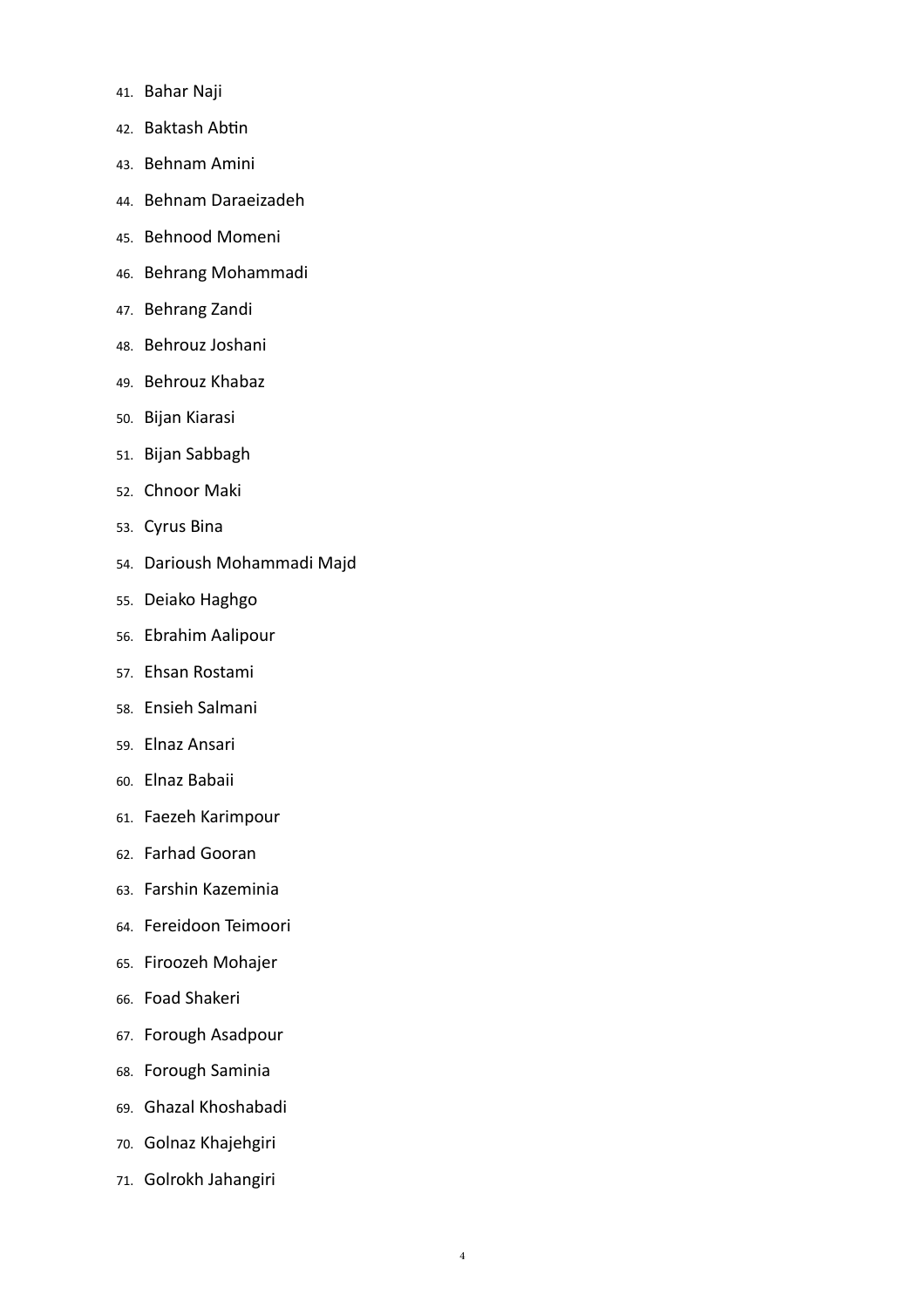- 41. Bahar Naji
- 42. Baktash Abtin
- 43. Behnam Amini
- 44. Behnam Daraeizadeh
- 45. Behnood Momeni
- 46. Behrang Mohammadi
- 47. Behrang Zandi
- 48. Behrouz Joshani
- 49. Behrouz Khabaz
- 50. Bijan Kiarasi
- 51. Bijan Sabbagh
- 52. Chnoor Maki
- 53. Cyrus Bina
- 54. Darioush Mohammadi Majd
- 55. Deiako Haghgo
- 56. Ebrahim Aalipour
- 57. Ehsan Rostami
- 58. Ensieh Salmani
- 59. Elnaz Ansari
- 60. Elnaz Babaii
- 61. Faezeh Karimpour
- 62. Farhad Gooran
- 63. Farshin Kazeminia
- 64. Fereidoon Teimoori
- 65. Firoozeh Mohajer
- 66. Foad Shakeri
- 67. Forough Asadpour
- 68. Forough Saminia
- 69. Ghazal Khoshabadi
- 70. Golnaz Khajehgiri
- 71. Golrokh Jahangiri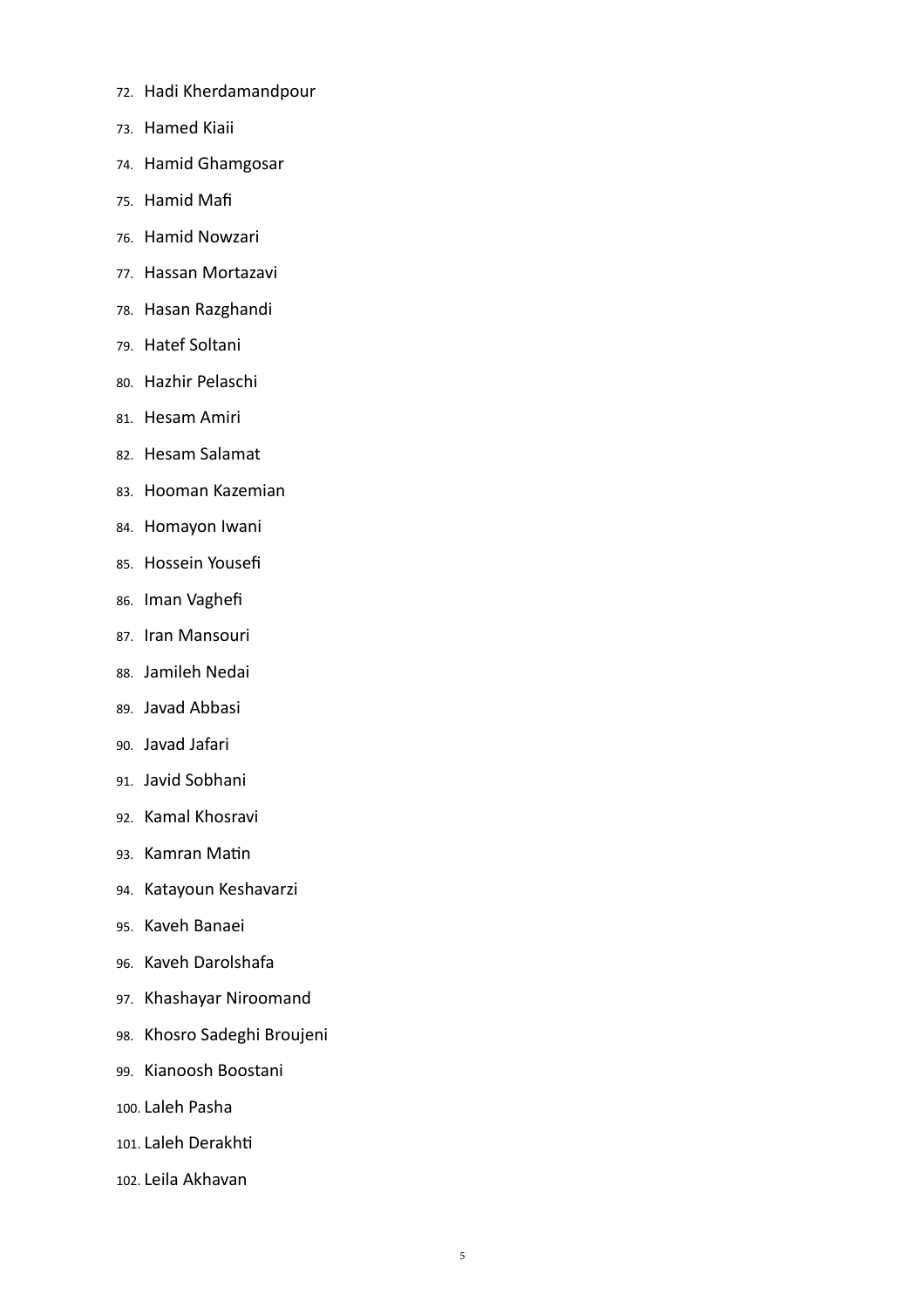- 72. Hadi Kherdamandpour
- 73. Hamed Kiaii
- 74. Hamid Ghamgosar
- 75. Hamid Mafi
- 76. Hamid Nowzari
- 77. Hassan Mortazavi
- 78. Hasan Razghandi
- 79. Hatef Soltani
- 80. Hazhir Pelaschi
- 81. Hesam Amiri
- 82. Hesam Salamat
- 83. Hooman Kazemian
- 84. Homayon Iwani
- 85. Hossein Yousefi
- 86. Iman Vaghefi
- 87. Iran Mansouri
- 88. Jamileh Nedai
- 89. Javad Abbasi
- 90. Javad Jafari
- 91. Javid Sobhani
- 92. Kamal Khosravi
- 93. Kamran Matin
- 94. Katayoun Keshavarzi
- 95. Kaveh Banaei
- 96. Kaveh Darolshafa
- 97. Khashayar Niroomand
- 98. Khosro Sadeghi Broujeni
- 99. Kianoosh Boostani
- 100. Laleh Pasha
- 101. Laleh Derakhti
- 102. Leila Akhavan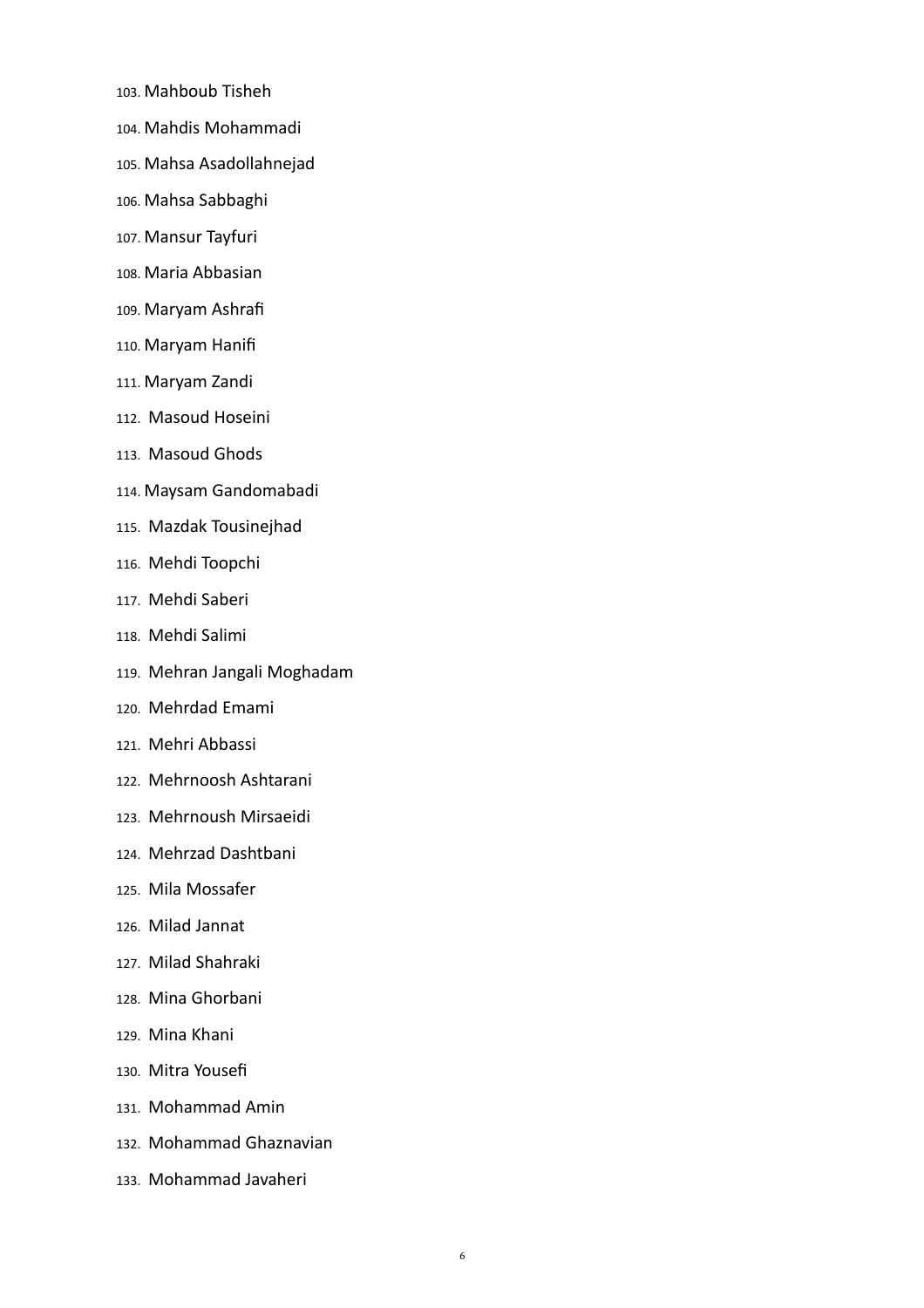- 103. Mahboub Tisheh
- 104. Mahdis Mohammadi
- 105. Mahsa Asadollahnejad
- 106. Mahsa Sabbaghi
- 107. Mansur Tayfuri
- 108. Maria Abbasian
- 109. Maryam Ashrafi
- 110. Maryam Hanifi
- 111. Maryam Zandi
- 112. Masoud Hoseini
- 113. Masoud Ghods
- 114. Maysam Gandomabadi
- 115. Mazdak Tousinejhad
- 116. Mehdi Toopchi
- 117. Mehdi Saberi
- 118. Mehdi Salimi
- 119. Mehran Jangali Moghadam
- 120. Mehrdad Emami
- 121. Mehri Abbassi
- 122. Mehrnoosh Ashtarani
- 123. Mehrnoush Mirsaeidi
- 124. Mehrzad Dashtbani
- 125. Mila Mossafer
- 126. Milad Jannat
- 127. Milad Shahraki
- 128. Mina Ghorbani
- 129. Mina Khani
- 130. Mitra Yousefi
- 131. Mohammad Amin
- 132. Mohammad Ghaznavian
- 133. Mohammad Javaheri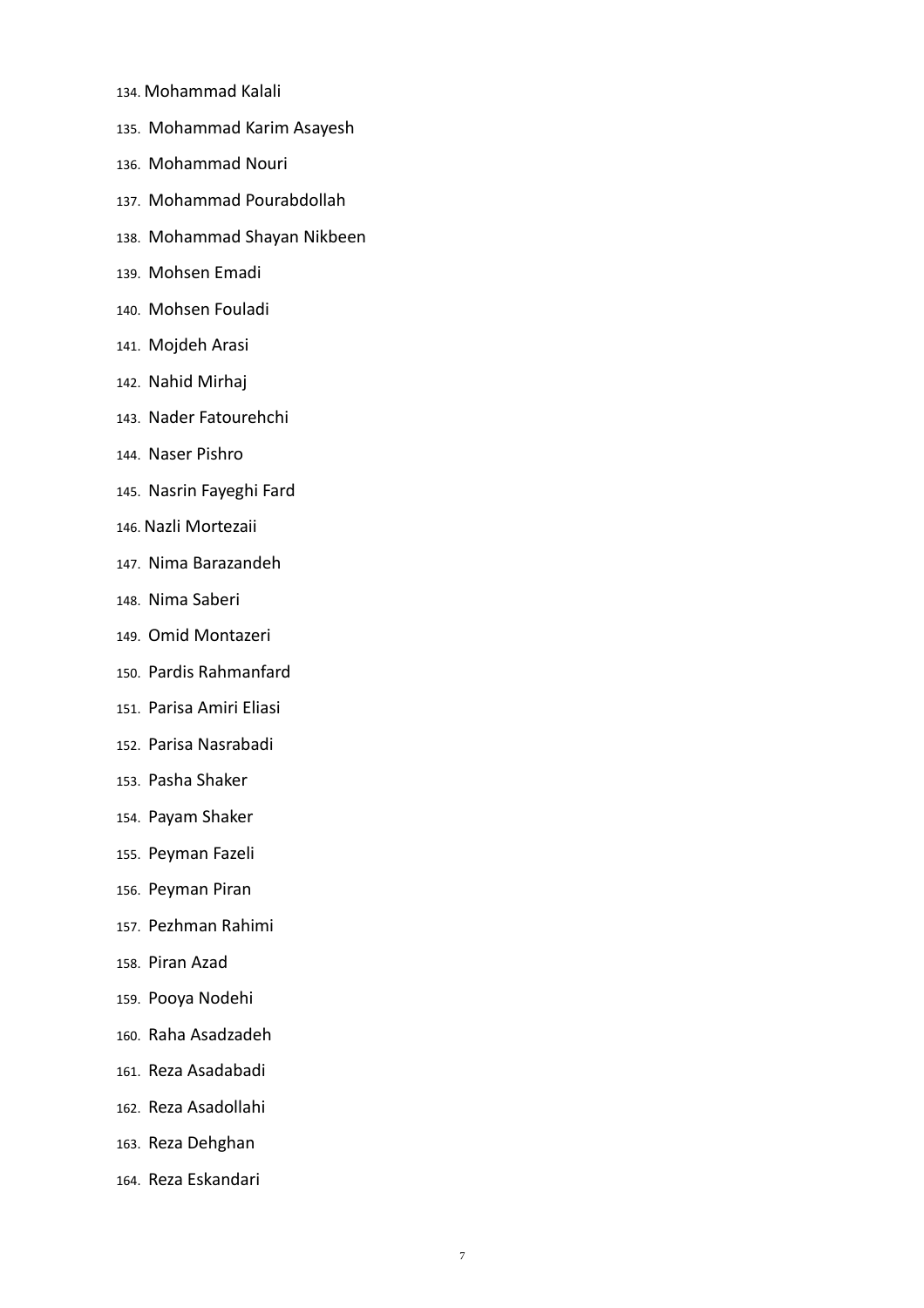- 134. Mohammad Kalali
- 135. Mohammad Karim Asayesh
- 136. Mohammad Nouri
- 137. Mohammad Pourabdollah
- 138. Mohammad Shayan Nikbeen
- 139. Mohsen Emadi
- 140. Mohsen Fouladi
- 141. Mojdeh Arasi
- 142. Nahid Mirhaj
- 143. Nader Fatourehchi
- 144. Naser Pishro
- 145. Nasrin Fayeghi Fard
- 146. Nazli Mortezaii
- 147. Nima Barazandeh
- 148. Nima Saberi
- 149. Omid Montazeri
- 150. Pardis Rahmanfard
- 151. Parisa Amiri Eliasi
- 152. Parisa Nasrabadi
- 153. Pasha Shaker
- 154. Payam Shaker
- 155. Peyman Fazeli
- 156. Peyman Piran
- 157. Pezhman Rahimi
- 158. Piran Azad
- 159. Pooya Nodehi
- 160. Raha Asadzadeh
- 161. Reza Asadabadi
- 162. Reza Asadollahi
- 163. Reza Dehghan
- 164. Reza Eskandari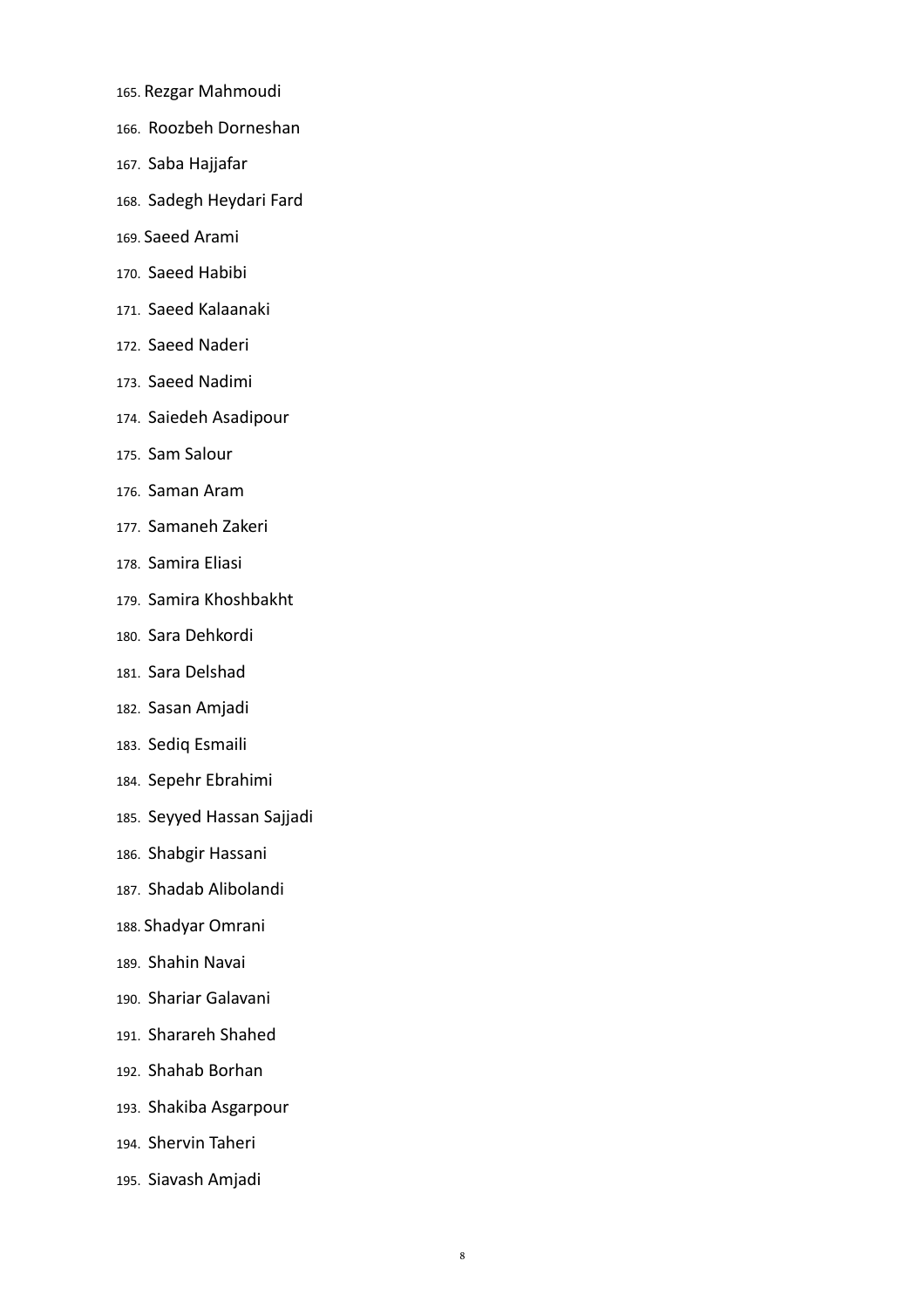- 165. Rezgar Mahmoudi
- 166. Roozbeh Dorneshan
- 167. Saba Hajjafar
- 168. Sadegh Heydari Fard
- 169. Saeed Arami
- 170. Saeed Habibi
- 171. Saeed Kalaanaki
- 172. Saeed Naderi
- 173. Saeed Nadimi
- 174. Saiedeh Asadipour
- 175. Sam Salour
- 176. Saman Aram
- 177. Samaneh Zakeri
- 178. Samira Eliasi
- 179. Samira Khoshbakht
- 180. Sara Dehkordi
- 181. Sara Delshad
- 182. Sasan Amjadi
- 183. Sediq Esmaili
- 184. Sepehr Ebrahimi
- 185. Seyyed Hassan Sajjadi
- 186. Shabgir Hassani
- 187. Shadab Alibolandi
- 188. Shadyar Omrani
- 189. Shahin Navai
- 190. Shariar Galavani
- 191. Sharareh Shahed
- 192. Shahab Borhan
- 193. Shakiba Asgarpour
- 194. Shervin Taheri
- 195. Siavash Amjadi